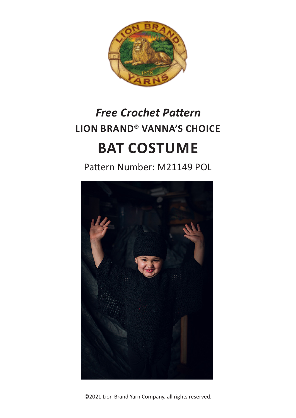

# **LION BRAND® VANNA'S CHOICE BAT COSTUME** *Free Crochet Pattern*

Pattern Number: M21149 POL



©2021 Lion Brand Yarn Company, all rights reserved.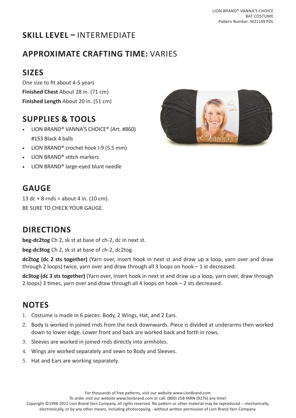# **SKILL LEVEL –** INTERMEDIATE

## **APPROXIMATE CRAFTING TIME:** VARIES

# **SIZES**

One size to fit about 4-5 years **Finished Chest** About 28 in. (71 cm) **Finished Length** About 20 in. (51 cm)

## **SUPPLIES & TOOLS**

- LION BRAND® VANNA'S CHOICE® (Art. #860) #153 Black 4 balls
- LION BRAND® crochet hook I-9 (5.5 mm)
- LION BRAND® stitch markers
- LION BRAND® large-eyed blunt needle



## **GAUGE**

13 dc + 8 rnds = about 4 in. (10 cm). BE SURE TO CHECK YOUR GAUGE.

## **DIRECTIONS**

**beg-dc2tog** Ch 2, sk st at base of ch-2, dc in next st.

**beg-dc3tog** Ch 2, sk st at base of ch-2, dc2tog.

**dc2tog (dc 2 sts together)** (Yarn over, insert hook in next st and draw up a loop, yarn over and draw through 2 loops) twice, yarn over and draw through all 3 loops on hook – 1 st decreased.

**dc3tog (dc 3 sts together)** (Yarn over, insert hook in next st and draw up a loop, yarn over, draw through 2 loops) 3 times, yarn over and draw through all 4 loops on hook – 2 sts decreased.

## **NOTES**

- 1. Costume is made in 6 pieces: Body, 2 Wings, Hat, and 2 Ears.
- 2. Body is worked in joined rnds from the neck downwards. Piece is divided at underarms then worked down to lower edge. Lower front and back are worked back and forth in rows.
- 3. Sleeves are worked in joined rnds directly into armholes.
- 4. Wings are worked separately and sewn to Body and Sleeves.
- 5. Hat and Ears are working separately.

For thousands of free patterns, visit our website www.LionBrand.com

To order visit our website www.lionbrand.com or call: (800) 258-YARN (9276) any time!

Copyright ©1998-2021 Lion Brand Yarn Company, all rights reserved. No pattern or other material may be reproduced -- mechanically, electronically, or by any other means, including photocopying - without written permission of Lion Brand Yarn Company.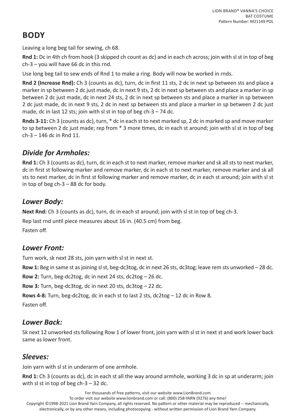# **BODY**

Leaving a long beg tail for sewing, ch 68.

**Rnd 1:** Dc in 4th ch from hook (3 skipped ch count as dc) and in each ch across; join with sl st in top of beg ch-3 – you will have 66 dc in this rnd.

Use long beg tail to sew ends of Rnd 1 to make a ring. Body will now be worked in rnds.

**Rnd 2 (Increase Rnd):** Ch 3 (counts as dc), turn, dc in first 11 sts, 2 dc in next sp between sts and place a marker in sp between 2 dc just made, dc in next 9 sts, 2 dc in next sp between sts and place a marker in sp between 2 dc just made, dc in next 24 sts, 2 dc in next sp between sts and place a marker in sp between 2 dc just made, dc in next 9 sts, 2 dc in next sp between sts and place a marker in sp between 2 dc just made, dc in last 12 sts; join with sl st in top of beg  $ch-3 - 74$  dc.

**Rnds 3-11:** Ch 3 (counts as dc), turn, \* dc in each st to next marked sp, 2 dc in marked sp and move marker to sp between 2 dc just made; rep from \* 3 more times, dc in each st around; join with sl st in top of beg ch-3 – 146 dc in Rnd 11.

#### *Divide for Armholes:*

**Rnd 1:** Ch 3 (counts as dc), turn, dc in each st to next marker, remove marker and sk all sts to next marker, dc in first st following marker and remove marker, dc in each st to next marker, remove marker and sk all sts to next marker, dc in first st following marker and remove marker, dc in each st around; join with sl st in top of beg  $ch-3 - 88$  dc for body.

#### *Lower Body:*

**Next Rnd:** Ch 3 (counts as dc), turn, dc in each st around; join with sl st in top of beg ch-3.

Rep last rnd until piece measures about 16 in. (40.5 cm) from beg.

Fasten off.

#### *Lower Front:*

Turn work, sk next 28 sts, join yarn with sl st in next st.

**Row 1:** Beg in same st as joining sl st, beg-dc3tog, dc in next 26 sts, dc3tog; leave rem sts unworked – 28 dc.

**Row 2:** Turn, beg-dc2tog, dc in next 24 sts, dc2tog – 26 dc.

**Row 3:** Turn, beg-dc3tog, dc in next 20 sts, dc3tog – 22 dc.

**Rows 4-8:** Turn, beg-dc2tog, dc in each st to last 2 sts, dc2tog – 12 dc in Row 8.

Fasten off.

#### *Lower Back:*

Sk next 12 unworked sts following Row 1 of lower front, join yarn with sl st in next st and work lower back same as lower front.

#### *Sleeves:*

Join yarn with sl st in underarm of one armhole.

**Rnd 1:** Ch 3 (counts as dc), dc in each st all the way around armhole, working 3 dc in sp at underarm; join with sl st in top of beg  $ch-3 - 32$  dc.

For thousands of free patterns, visit our website www.LionBrand.com

To order visit our website www.lionbrand.com or call: (800) 258-YARN (9276) any time!

Copyright ©1998-2021 Lion Brand Yarn Company, all rights reserved. No pattern or other material may be reproduced -- mechanically, electronically, or by any other means, including photocopying - without written permission of Lion Brand Yarn Company.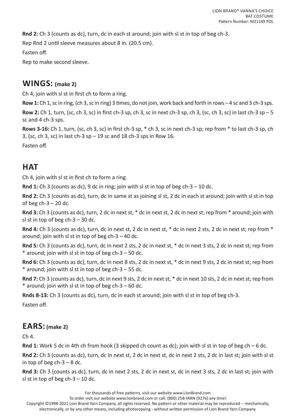**Rnd 2:** Ch 3 (counts as dc), turn, dc in each st around; join with sl st in top of beg ch-3.

Rep Rnd 2 until sleeve measures about 8 in. (20.5 cm).

Fasten off.

Rep to make second sleeve.

#### **WINGS: (make 2)**

Ch 4; join with sl st in first ch to form a ring.

**Row 1:** Ch 1, sc in ring, (ch 3, sc in ring) 3 times; do not join, work back and forth in rows – 4 sc and 3 ch-3 sps.

**Row 2:** Ch 1, turn, (sc, ch 3, sc) in first ch-3 sp, ch 3, sc in next ch-3 sp, ch 3, (sc, ch 3, sc) in last ch-3 sp – 5 sc and 4 ch-3 sps.

**Rows 3-16:** Ch 1, turn, (sc, ch 3, sc) in first ch-3 sp, \* ch 3, sc in next ch-3 sp; rep from \* to last ch-3 sp, ch 3, (sc, ch 3, sc) in last ch-3  $sp - 19$  sc and 18 ch-3 sps in Row 16.

Fasten off.

## **HAT**

Ch 4, join with sl st in first ch to form a ring.

**Rnd 1:** Ch 3 (counts as dc), 9 dc in ring; join with sl st in top of beg ch-3 – 10 dc.

**Rnd 2:** Ch 3 (counts as dc), turn, dc in same st as joining sl st, 2 dc in each st around; join with sl st in top of beg  $ch-3 - 20$  dc.

**Rnd 3:** Ch 3 (counts as dc), turn, 2 dc in next st, \* dc in next st, 2 dc in next st; rep from \* around; join with sl st in top of beg  $ch-3 - 30$  dc.

**Rnd 4:** Ch 3 (counts as dc), turn, dc in next st, 2 dc in next st, \* dc in next 2 sts, 2 dc in next st; rep from \* around; join with sl st in top of beg  $ch-3 - 40$  dc.

**Rnd 5:** Ch 3 (counts as dc), turn, dc in next 2 sts, 2 dc in next st, \* dc in next 3 sts, 2 dc in next st; rep from  $*$  around; join with sl st in top of beg ch-3 – 50 dc.

**Rnd 6:** Ch 3 (counts as dc), turn, dc in next 8 sts, 2 dc in next st, \* dc in next 9 sts, 2 dc in next st; rep from  $*$  around; join with sl st in top of beg ch-3 – 55 dc.

**Rnd 7:** Ch 3 (counts as dc), turn, dc in next 9 sts, 2 dc in next st, \* dc in next 10 sts, 2 dc in next st; rep from  $*$  around; join with sl st in top of beg ch-3 – 60 dc.

**Rnds 8-13:** Ch 3 (counts as dc), turn, dc in each st around; join with sl st in top of beg ch-3.

Fasten off.

#### **EARS: (make 2)**

Ch 4.

**Rnd 1:** Work 5 dc in 4th ch from hook (3 skipped ch count as dc); join with sl st in top of beg ch – 6 dc.

**Rnd 2:** Ch 3 (counts as dc), turn, dc in next st, 2 dc in next st, dc in next 2 sts, 2 dc in last st; join with sl st in top of beg  $ch-3-8$  dc.

**Rnd 3:** Ch 3 (counts as dc), turn, dc in next 2 sts, 2 dc in next st, dc in next 3 sts, 2 dc in last st; join with sl st in top of beg  $ch-3-10$  dc.

For thousands of free patterns, visit our website www.LionBrand.com

To order visit our website www.lionbrand.com or call: (800) 258-YARN (9276) any time!

Copyright ©1998-2021 Lion Brand Yarn Company, all rights reserved. No pattern or other material may be reproduced -- mechanically, electronically, or by any other means, including photocopying - without written permission of Lion Brand Yarn Company.